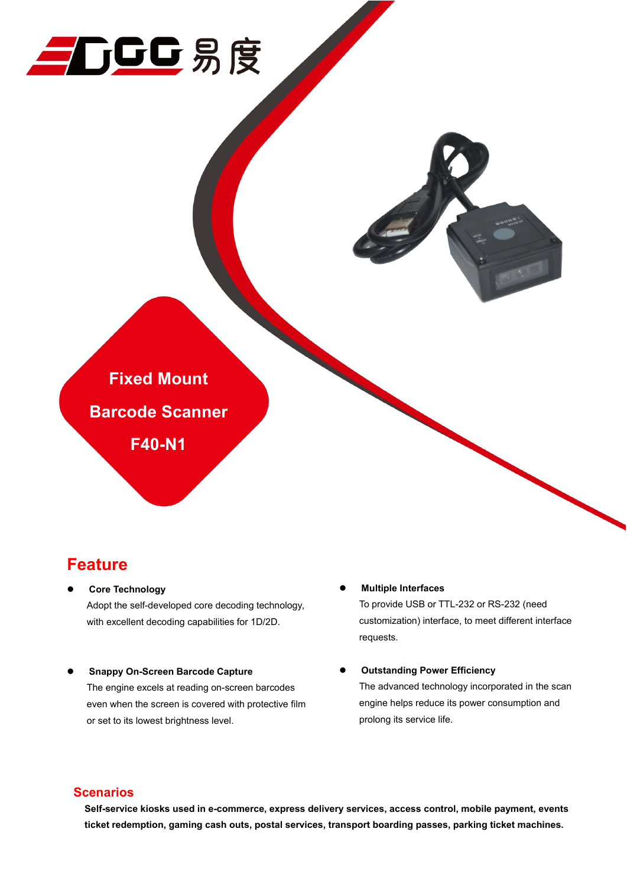



### **Feature**

- **Core Technology** Adopt the self-developed core decoding technology, with excellent decoding capabilities for 1D/2D.
- **Snappy On-Screen Barcode Capture**

The engine excels at reading on-screen barcodes even when the screen is covered with protective film or set to its lowest brightness level.

**Multiple Interfaces**

prolong its service life.

To provide USB or TTL-232 or RS-232 (need customization) interface, to meet different interface requests.

 **Outstanding Power Efficiency** The advanced technology incorporated in the scan engine helps reduce its power consumption and

### **Scenarios**

**Self-service kiosks used in e-commerce, express delivery services, access control, mobile payment, events ticket redemption, gaming cash outs, postal services, transport boarding passes, parking ticket machines.**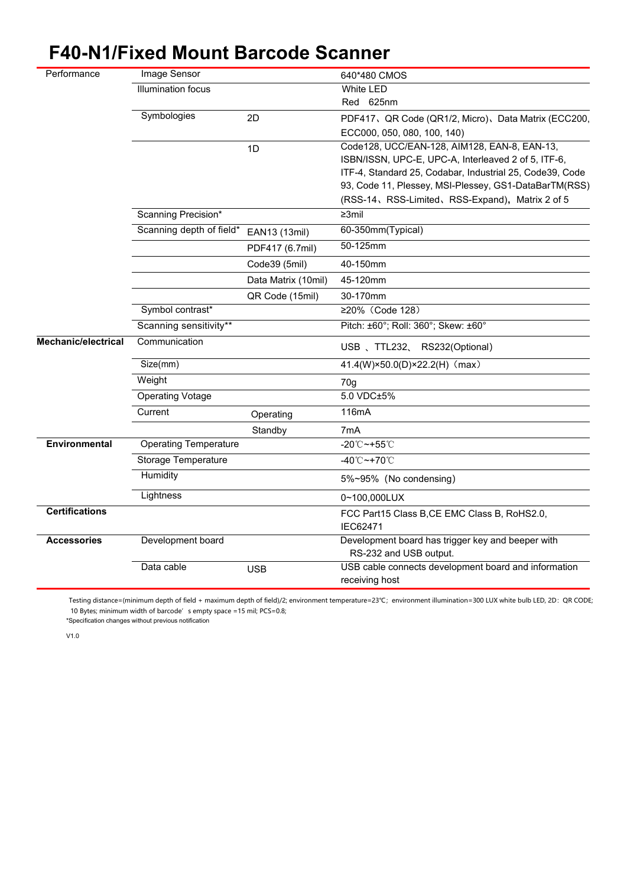# **F40-N1/Fixed Mount Barcode Scanner**

| Performance                | Image Sensor                 |                     | 640*480 CMOS                                                                |
|----------------------------|------------------------------|---------------------|-----------------------------------------------------------------------------|
|                            | <b>Illumination focus</b>    |                     | White LED                                                                   |
|                            |                              |                     | Red 625nm                                                                   |
|                            | Symbologies                  | 2D                  | PDF417、QR Code (QR1/2, Micro)、Data Matrix (ECC200,                          |
|                            |                              |                     | ECC000, 050, 080, 100, 140)                                                 |
|                            |                              | 1D                  | Code128, UCC/EAN-128, AIM128, EAN-8, EAN-13,                                |
|                            |                              |                     | ISBN/ISSN, UPC-E, UPC-A, Interleaved 2 of 5, ITF-6,                         |
|                            |                              |                     | ITF-4, Standard 25, Codabar, Industrial 25, Code39, Code                    |
|                            |                              |                     | 93, Code 11, Plessey, MSI-Plessey, GS1-DataBarTM(RSS)                       |
|                            |                              |                     | (RSS-14, RSS-Limited, RSS-Expand), Matrix 2 of 5                            |
|                            | Scanning Precision*          |                     | $\geq 3$ mil                                                                |
|                            | Scanning depth of field*     | EAN13 (13mil)       | 60-350mm(Typical)                                                           |
|                            |                              | PDF417 (6.7mil)     | 50-125mm                                                                    |
|                            |                              | Code39 (5mil)       | 40-150mm                                                                    |
|                            |                              | Data Matrix (10mil) | 45-120mm                                                                    |
|                            |                              | QR Code (15mil)     | 30-170mm                                                                    |
|                            | Symbol contrast*             |                     | ≥20% (Code 128)                                                             |
|                            | Scanning sensitivity**       |                     | Pitch: ±60°; Roll: 360°; Skew: ±60°                                         |
| <b>Mechanic/electrical</b> | Communication                |                     | USB 、TTL232、RS232(Optional)                                                 |
|                            | Size(mm)                     |                     | 41.4(W)×50.0(D)×22.2(H) (max)                                               |
|                            | Weight                       |                     | 70g                                                                         |
|                            | <b>Operating Votage</b>      |                     | 5.0 VDC±5%                                                                  |
|                            | Current                      | Operating           | 116mA                                                                       |
|                            |                              | Standby             | 7mA                                                                         |
| Environmental              | <b>Operating Temperature</b> |                     | $-20^{\circ}\text{C} \rightarrow +55^{\circ}\text{C}$                       |
|                            | <b>Storage Temperature</b>   |                     | -40 $^{\circ}$ C ~+70 $^{\circ}$ C                                          |
|                            | Humidity                     |                     | 5%~95% (No condensing)                                                      |
|                            | Lightness                    |                     | 0~100,000LUX                                                                |
| <b>Certifications</b>      |                              |                     | FCC Part15 Class B, CE EMC Class B, RoHS2.0,                                |
|                            |                              |                     | IEC62471                                                                    |
| <b>Accessories</b>         | Development board            |                     | Development board has trigger key and beeper with<br>RS-232 and USB output. |
|                            | Data cable                   | <b>USB</b>          | USB cable connects development board and information                        |
|                            |                              |                     | receiving host                                                              |
|                            |                              |                     |                                                                             |

Testing distance=(minimum depth of field + maximum depth of field)/2; environment temperature=23℃; environment illumination=300 LUX white bulb LED, 2D: QR CODE; 10 Bytes; minimum width of barcode's empty space =15 mil; PCS=0.8;

\*Specification changes without previous notification

V1.0